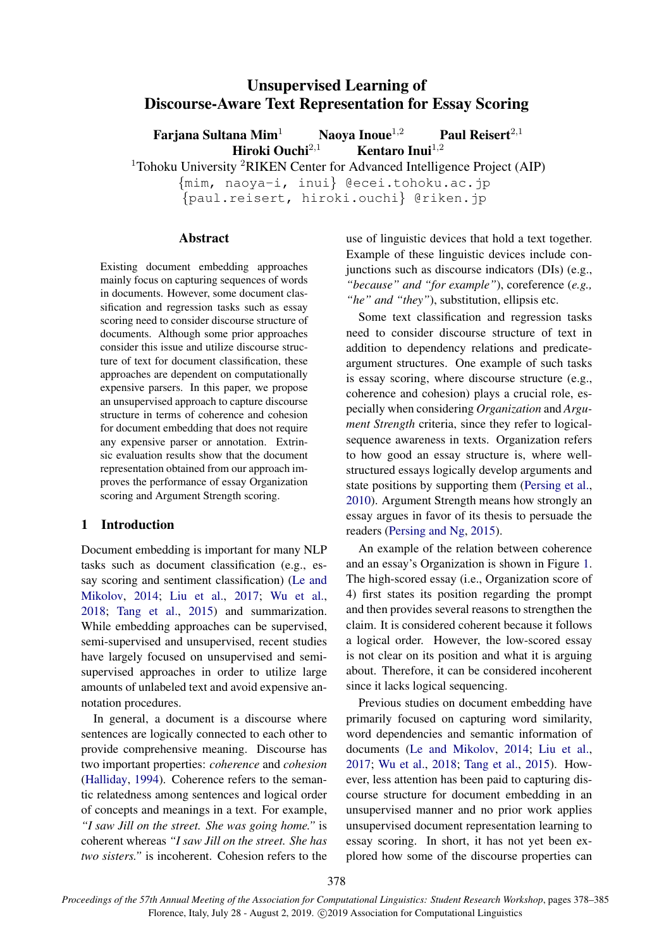# Unsupervised Learning of Discourse-Aware Text Representation for Essay Scoring

Farjana Sultana Mim<sup>1</sup> Naoya Inoue<sup>1,2</sup> Paul Reisert<sup>2,1</sup><br>Hiroki Ouchi<sup>2,1</sup> Kentaro Inui<sup>1,2</sup> Hiroki Ouchi $^{2,1}$ 

<sup>1</sup>Tohoku University <sup>2</sup>RIKEN Center for Advanced Intelligence Project (AIP)

{mim, naoya-i, inui} @ecei.tohoku.ac.jp {paul.reisert, hiroki.ouchi} @riken.jp

## Abstract

Existing document embedding approaches mainly focus on capturing sequences of words in documents. However, some document classification and regression tasks such as essay scoring need to consider discourse structure of documents. Although some prior approaches consider this issue and utilize discourse structure of text for document classification, these approaches are dependent on computationally expensive parsers. In this paper, we propose an unsupervised approach to capture discourse structure in terms of coherence and cohesion for document embedding that does not require any expensive parser or annotation. Extrinsic evaluation results show that the document representation obtained from our approach improves the performance of essay Organization scoring and Argument Strength scoring.

# 1 Introduction

Document embedding is important for many NLP tasks such as document classification (e.g., essay scoring and sentiment classification) [\(Le and](#page-6-0) [Mikolov,](#page-6-0) [2014;](#page-6-0) [Liu et al.,](#page-6-1) [2017;](#page-6-1) [Wu et al.,](#page-6-2) [2018;](#page-6-2) [Tang et al.,](#page-6-3) [2015\)](#page-6-3) and summarization. While embedding approaches can be supervised, semi-supervised and unsupervised, recent studies have largely focused on unsupervised and semisupervised approaches in order to utilize large amounts of unlabeled text and avoid expensive annotation procedures.

In general, a document is a discourse where sentences are logically connected to each other to provide comprehensive meaning. Discourse has two important properties: *coherence* and *cohesion* [\(Halliday,](#page-5-0) [1994\)](#page-5-0). Coherence refers to the semantic relatedness among sentences and logical order of concepts and meanings in a text. For example, *"I saw Jill on the street. She was going home."* is coherent whereas *"I saw Jill on the street. She has two sisters."* is incoherent. Cohesion refers to the

use of linguistic devices that hold a text together. Example of these linguistic devices include conjunctions such as discourse indicators (DIs) (e.g., *"because" and "for example"*), coreference (*e.g., "he" and "they"*), substitution, ellipsis etc.

Some text classification and regression tasks need to consider discourse structure of text in addition to dependency relations and predicateargument structures. One example of such tasks is essay scoring, where discourse structure (e.g., coherence and cohesion) plays a crucial role, especially when considering *Organization* and *Argument Strength* criteria, since they refer to logicalsequence awareness in texts. Organization refers to how good an essay structure is, where wellstructured essays logically develop arguments and state positions by supporting them [\(Persing et al.,](#page-6-4) [2010\)](#page-6-4). Argument Strength means how strongly an essay argues in favor of its thesis to persuade the readers [\(Persing and Ng,](#page-6-5) [2015\)](#page-6-5).

An example of the relation between coherence and an essay's Organization is shown in Figure [1.](#page-1-0) The high-scored essay (i.e., Organization score of 4) first states its position regarding the prompt and then provides several reasons to strengthen the claim. It is considered coherent because it follows a logical order. However, the low-scored essay is not clear on its position and what it is arguing about. Therefore, it can be considered incoherent since it lacks logical sequencing.

Previous studies on document embedding have primarily focused on capturing word similarity, word dependencies and semantic information of documents [\(Le and Mikolov,](#page-6-0) [2014;](#page-6-0) [Liu et al.,](#page-6-1) [2017;](#page-6-1) [Wu et al.,](#page-6-2) [2018;](#page-6-2) [Tang et al.,](#page-6-3) [2015\)](#page-6-3). However, less attention has been paid to capturing discourse structure for document embedding in an unsupervised manner and no prior work applies unsupervised document representation learning to essay scoring. In short, it has not yet been explored how some of the discourse properties can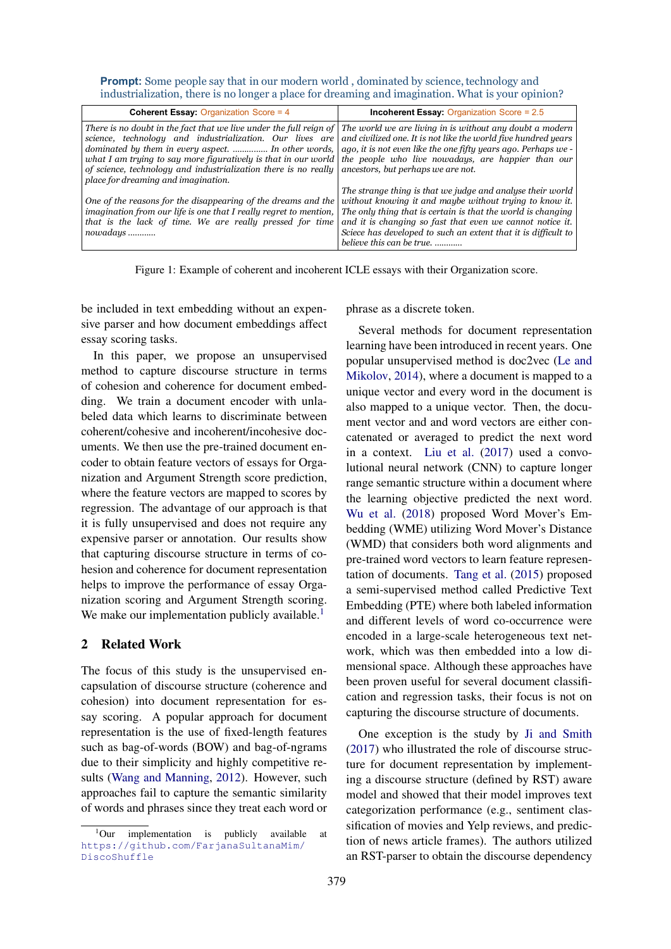| <b>Incoherent Essay:</b> Organization Score = $2.5$                                                                                                                                                                                                                                                                                                                                                                                                                                                                                                                                                             |
|-----------------------------------------------------------------------------------------------------------------------------------------------------------------------------------------------------------------------------------------------------------------------------------------------------------------------------------------------------------------------------------------------------------------------------------------------------------------------------------------------------------------------------------------------------------------------------------------------------------------|
| There is no doubt in the fact that we live under the full reign of $ $ The world we are living in is without any doubt a modern<br>science, technology and industrialization. Our lives are and civilized one. It is not like the world five hundred years<br>dominated by them in every aspect.  In other words,   ago, it is not even like the one fifty years ago. Perhaps we -<br>what I am trying to say more figuratively is that in our world   the people who live nowadays, are happier than our<br>of science, technology and industrialization there is no really ancestors, but perhaps we are not. |
| The strange thing is that we judge and analyse their world<br>without knowing it and maybe without trying to know it.<br>The only thing that is certain is that the world is changing<br>and it is changing so fast that even we cannot notice it.<br>Sciece has developed to such an extent that it is difficult to<br>believe this can be true.                                                                                                                                                                                                                                                               |
|                                                                                                                                                                                                                                                                                                                                                                                                                                                                                                                                                                                                                 |

<span id="page-1-0"></span>**Prompt:** Some people say that in our modern world, dominated by science, technology and industrialization, there is no longer a place for dreaming and imagination. What is your opinion?

Figure 1: Example of coherent and incoherent ICLE essays with their Organization score.

be included in text embedding without an expensive parser and how document embeddings affect essay scoring tasks.

In this paper, we propose an unsupervised method to capture discourse structure in terms of cohesion and coherence for document embedding. We train a document encoder with unlabeled data which learns to discriminate between coherent/cohesive and incoherent/incohesive documents. We then use the pre-trained document encoder to obtain feature vectors of essays for Organization and Argument Strength score prediction, where the feature vectors are mapped to scores by regression. The advantage of our approach is that it is fully unsupervised and does not require any expensive parser or annotation. Our results show that capturing discourse structure in terms of cohesion and coherence for document representation helps to improve the performance of essay Organization scoring and Argument Strength scoring. We make our implementation publicly available.<sup>[1](#page-1-1)</sup>

## 2 Related Work

The focus of this study is the unsupervised encapsulation of discourse structure (coherence and cohesion) into document representation for essay scoring. A popular approach for document representation is the use of fixed-length features such as bag-of-words (BOW) and bag-of-ngrams due to their simplicity and highly competitive results [\(Wang and Manning,](#page-6-6) [2012\)](#page-6-6). However, such approaches fail to capture the semantic similarity of words and phrases since they treat each word or phrase as a discrete token.

Several methods for document representation learning have been introduced in recent years. One popular unsupervised method is doc2vec [\(Le and](#page-6-0) [Mikolov,](#page-6-0) [2014\)](#page-6-0), where a document is mapped to a unique vector and every word in the document is also mapped to a unique vector. Then, the document vector and and word vectors are either concatenated or averaged to predict the next word in a context. [Liu et al.](#page-6-1) [\(2017\)](#page-6-1) used a convolutional neural network (CNN) to capture longer range semantic structure within a document where the learning objective predicted the next word. [Wu et al.](#page-6-2) [\(2018\)](#page-6-2) proposed Word Mover's Embedding (WME) utilizing Word Mover's Distance (WMD) that considers both word alignments and pre-trained word vectors to learn feature representation of documents. [Tang et al.](#page-6-3) [\(2015\)](#page-6-3) proposed a semi-supervised method called Predictive Text Embedding (PTE) where both labeled information and different levels of word co-occurrence were encoded in a large-scale heterogeneous text network, which was then embedded into a low dimensional space. Although these approaches have been proven useful for several document classification and regression tasks, their focus is not on capturing the discourse structure of documents.

One exception is the study by [Ji and Smith](#page-6-7) [\(2017\)](#page-6-7) who illustrated the role of discourse structure for document representation by implementing a discourse structure (defined by RST) aware model and showed that their model improves text categorization performance (e.g., sentiment classification of movies and Yelp reviews, and prediction of news article frames). The authors utilized an RST-parser to obtain the discourse dependency

<span id="page-1-1"></span> $1$ Our implementation is publicly available at [https://github.com/FarjanaSultanaMim/](https://github.com/FarjanaSultanaMim/DiscoShuffle) [DiscoShuffle](https://github.com/FarjanaSultanaMim/DiscoShuffle)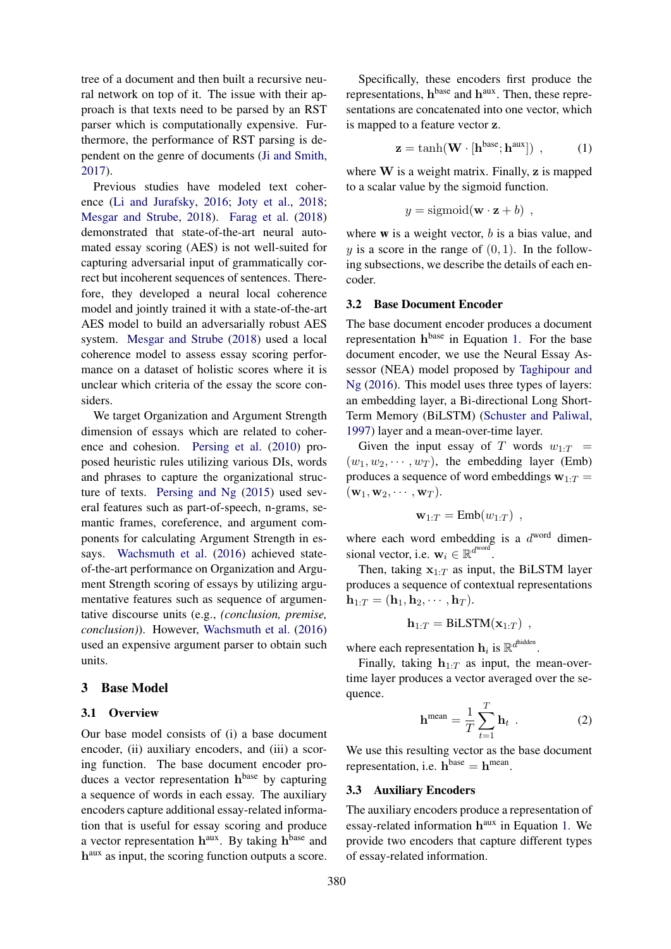tree of a document and then built a recursive neural network on top of it. The issue with their approach is that texts need to be parsed by an RST parser which is computationally expensive. Furthermore, the performance of RST parsing is dependent on the genre of documents [\(Ji and Smith,](#page-6-7) [2017\)](#page-6-7).

Previous studies have modeled text coherence [\(Li and Jurafsky,](#page-6-8) [2016;](#page-6-8) [Joty et al.,](#page-6-9) [2018;](#page-6-9) [Mesgar and Strube,](#page-6-10) [2018\)](#page-6-10). [Farag et al.](#page-5-1) [\(2018\)](#page-5-1) demonstrated that state-of-the-art neural automated essay scoring (AES) is not well-suited for capturing adversarial input of grammatically correct but incoherent sequences of sentences. Therefore, they developed a neural local coherence model and jointly trained it with a state-of-the-art AES model to build an adversarially robust AES system. [Mesgar and Strube](#page-6-10) [\(2018\)](#page-6-10) used a local coherence model to assess essay scoring performance on a dataset of holistic scores where it is unclear which criteria of the essay the score considers.

We target Organization and Argument Strength dimension of essays which are related to coherence and cohesion. [Persing et al.](#page-6-4) [\(2010\)](#page-6-4) proposed heuristic rules utilizing various DIs, words and phrases to capture the organizational structure of texts. [Persing and Ng](#page-6-5) [\(2015\)](#page-6-5) used several features such as part-of-speech, n-grams, semantic frames, coreference, and argument components for calculating Argument Strength in essays. [Wachsmuth et al.](#page-6-11) [\(2016\)](#page-6-11) achieved stateof-the-art performance on Organization and Argument Strength scoring of essays by utilizing argumentative features such as sequence of argumentative discourse units (e.g., *(conclusion, premise, conclusion)*). However, [Wachsmuth et al.](#page-6-11) [\(2016\)](#page-6-11) used an expensive argument parser to obtain such units.

## 3 Base Model

#### 3.1 Overview

Our base model consists of (i) a base document encoder, (ii) auxiliary encoders, and (iii) a scoring function. The base document encoder produces a vector representation  $h<sup>base</sup>$  by capturing a sequence of words in each essay. The auxiliary encoders capture additional essay-related information that is useful for essay scoring and produce a vector representation  $h^{aux}$ . By taking  $h^{base}$  and h<sup>aux</sup> as input, the scoring function outputs a score.

Specifically, these encoders first produce the representations,  $h^{base}$  and  $h^{aux}$ . Then, these representations are concatenated into one vector, which is mapped to a feature vector z.

<span id="page-2-0"></span>
$$
\mathbf{z} = \tanh(\mathbf{W} \cdot [\mathbf{h}^{base}; \mathbf{h}^{aux}]) \tag{1}
$$

where  $W$  is a weight matrix. Finally,  $z$  is mapped to a scalar value by the sigmoid function.

<span id="page-2-2"></span>
$$
y = sigmoid(\mathbf{w} \cdot \mathbf{z} + b) ,
$$

where  $w$  is a weight vector,  $b$  is a bias value, and y is a score in the range of  $(0, 1)$ . In the following subsections, we describe the details of each encoder.

## <span id="page-2-1"></span>3.2 Base Document Encoder

The base document encoder produces a document representation h<sup>base</sup> in Equation [1.](#page-2-0) For the base document encoder, we use the Neural Essay Assessor (NEA) model proposed by [Taghipour and](#page-6-12) [Ng](#page-6-12) [\(2016\)](#page-6-12). This model uses three types of layers: an embedding layer, a Bi-directional Long Short-Term Memory (BiLSTM) [\(Schuster and Paliwal,](#page-6-13) [1997\)](#page-6-13) layer and a mean-over-time layer.

Given the input essay of T words  $w_{1:T}$  =  $(w_1, w_2, \dots, w_T)$ , the embedding layer (Emb) produces a sequence of word embeddings  $w_{1:T} =$  $(\mathbf{w}_1, \mathbf{w}_2, \cdots, \mathbf{w}_T).$ 

$$
\mathbf{w}_{1:T} = \text{Emb}(w_{1:T}) \text{ ,}
$$

where each word embedding is a  $d^{word}$  dimensional vector, i.e.  $\mathbf{w}_i \in \mathbb{R}^{d^{\text{word}}}.$ 

Then, taking  $x_{1:T}$  as input, the BiLSTM layer produces a sequence of contextual representations  $\mathbf{h}_{1:T} = (\mathbf{h}_1, \mathbf{h}_2, \cdots, \mathbf{h}_T).$ 

$$
\mathbf{h}_{1:T} = \text{BiLSTM}(\mathbf{x}_{1:T}) ,
$$

where each representation  $\mathbf{h}_i$  is  $\mathbb{R}^{d^{\text{hidden}}}$ .

Finally, taking  $h_{1:T}$  as input, the mean-overtime layer produces a vector averaged over the sequence.

$$
\mathbf{h}^{\text{mean}} = \frac{1}{T} \sum_{t=1}^{T} \mathbf{h}_t \quad . \tag{2}
$$

We use this resulting vector as the base document representation, i.e.  $h^{base} = h^{mean}$ .

#### 3.3 Auxiliary Encoders

The auxiliary encoders produce a representation of essay-related information h<sup>aux</sup> in Equation [1.](#page-2-0) We provide two encoders that capture different types of essay-related information.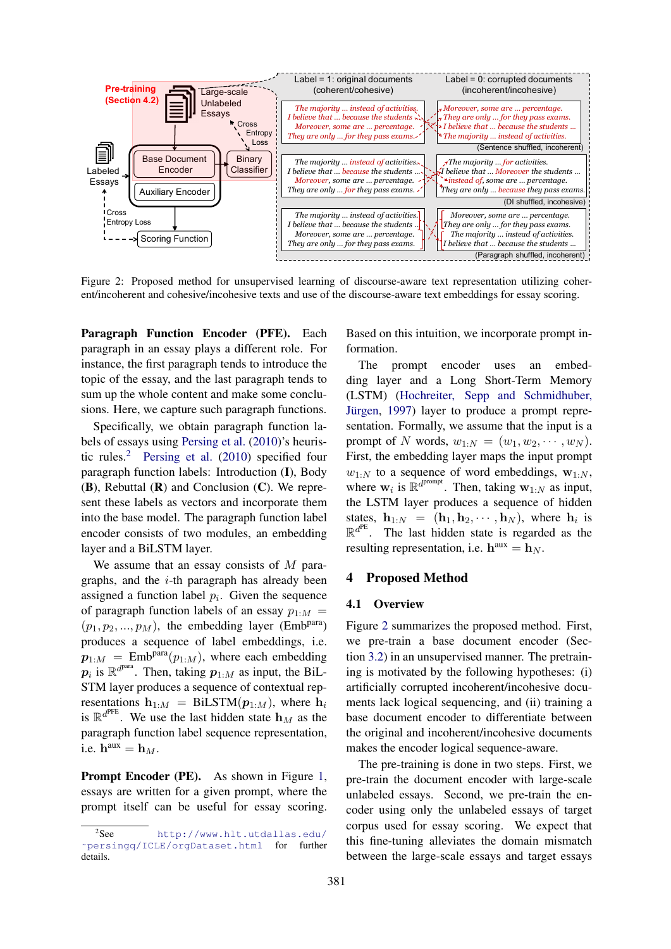<span id="page-3-1"></span>

Figure 2: Proposed method for unsupervised learning of discourse-aware text representation utilizing coherent/incoherent and cohesive/incohesive texts and use of the discourse-aware text embeddings for essay scoring.

Paragraph Function Encoder (PFE). Each paragraph in an essay plays a different role. For instance, the first paragraph tends to introduce the topic of the essay, and the last paragraph tends to sum up the whole content and make some conclusions. Here, we capture such paragraph functions.

Specifically, we obtain paragraph function labels of essays using [Persing et al.](#page-6-4) [\(2010\)](#page-6-4)'s heuristic rules.[2](#page-3-0) [Persing et al.](#page-6-4) [\(2010\)](#page-6-4) specified four paragraph function labels: Introduction (I), Body  $(B)$ , Rebuttal  $(R)$  and Conclusion  $(C)$ . We represent these labels as vectors and incorporate them into the base model. The paragraph function label encoder consists of two modules, an embedding layer and a BiLSTM layer.

We assume that an essay consists of  $M$  paragraphs, and the  $i$ -th paragraph has already been assigned a function label  $p_i$ . Given the sequence of paragraph function labels of an essay  $p_{1:M}$  =  $(p_1, p_2, ..., p_M)$ , the embedding layer (Emb<sup>para</sup>) produces a sequence of label embeddings, i.e.  $\mathbf{p}_{1:M}$  = Emb<sup>para</sup> $(p_{1:M})$ , where each embedding  $p_i$  is  $\mathbb{R}^{d^{para}}$ . Then, taking  $p_{1:M}$  as input, the BiL-STM layer produces a sequence of contextual representations  $h_{1:M} = \text{BiLSTM}(p_{1:M})$ , where  $h_i$ is  $\mathbb{R}^{d^{PFE}}$ . We use the last hidden state  $\mathbf{h}_M$  as the paragraph function label sequence representation, i.e.  $\mathbf{h}^{\text{aux}} = \mathbf{h}_M$ .

Prompt Encoder (PE). As shown in Figure [1,](#page-1-0) essays are written for a given prompt, where the prompt itself can be useful for essay scoring.

Based on this intuition, we incorporate prompt information.

The prompt encoder uses an embedding layer and a Long Short-Term Memory (LSTM) [\(Hochreiter, Sepp and Schmidhuber,](#page-6-14) Jürgen, [1997\)](#page-6-14) layer to produce a prompt representation. Formally, we assume that the input is a prompt of N words,  $w_{1:N} = (w_1, w_2, \cdots, w_N)$ . First, the embedding layer maps the input prompt  $w_{1:N}$  to a sequence of word embeddings,  $w_{1:N}$ , where  $w_i$  is  $\mathbb{R}^{d^{prompt}}$ . Then, taking  $w_{1:N}$  as input, the LSTM layer produces a sequence of hidden states,  $\mathbf{h}_{1:N} = (\mathbf{h}_1, \mathbf{h}_2, \cdots, \mathbf{h}_N)$ , where  $\mathbf{h}_i$  is  $\mathbb{R}^{d^{PE}}$ . The last hidden state is regarded as the resulting representation, i.e.  $h^{aux} = h_N$ .

#### 4 Proposed Method

#### 4.1 Overview

Figure [2](#page-3-1) summarizes the proposed method. First, we pre-train a base document encoder (Section [3.2\)](#page-2-1) in an unsupervised manner. The pretraining is motivated by the following hypotheses: (i) artificially corrupted incoherent/incohesive documents lack logical sequencing, and (ii) training a base document encoder to differentiate between the original and incoherent/incohesive documents makes the encoder logical sequence-aware.

The pre-training is done in two steps. First, we pre-train the document encoder with large-scale unlabeled essays. Second, we pre-train the encoder using only the unlabeled essays of target corpus used for essay scoring. We expect that this fine-tuning alleviates the domain mismatch between the large-scale essays and target essays

<span id="page-3-0"></span> $2$ See [http://www.hlt.utdallas.edu/](http://www.hlt.utdallas.edu/~persingq/ICLE/orgDataset.html) [˜persingq/ICLE/orgDataset.html](http://www.hlt.utdallas.edu/~persingq/ICLE/orgDataset.html) for further details.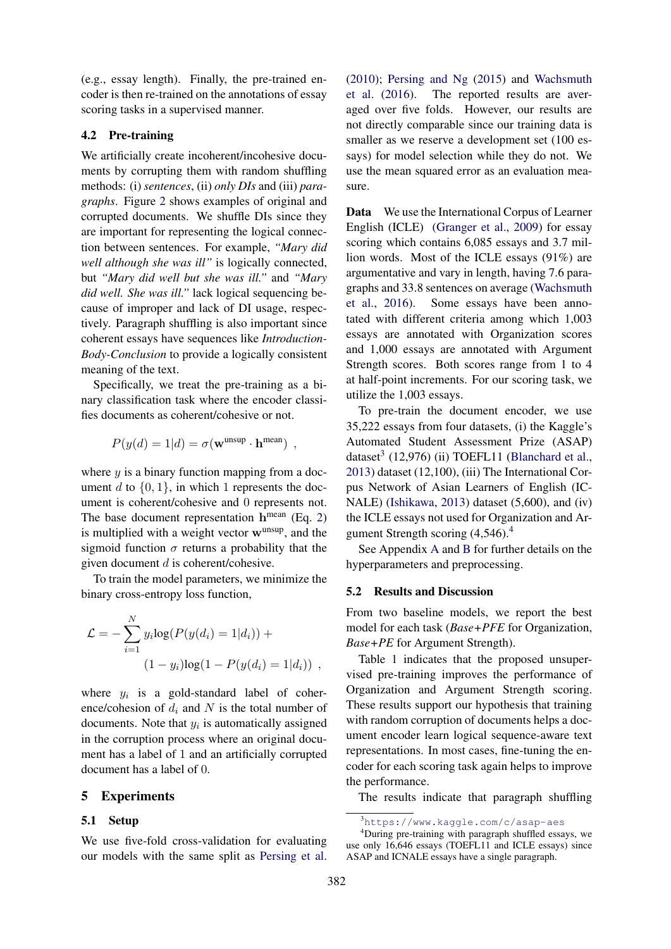(e.g., essay length). Finally, the pre-trained encoder is then re-trained on the annotations of essay scoring tasks in a supervised manner.

## 4.2 Pre-training

We artificially create incoherent/incohesive documents by corrupting them with random shuffling methods: (i) *sentences*, (ii) *only DIs* and (iii) *paragraphs*. Figure [2](#page-3-1) shows examples of original and corrupted documents. We shuffle DIs since they are important for representing the logical connection between sentences. For example, *"Mary did well although she was ill"* is logically connected, but *"Mary did well but she was ill."* and *"Mary did well. She was ill."* lack logical sequencing because of improper and lack of DI usage, respectively. Paragraph shuffling is also important since coherent essays have sequences like *Introduction-Body-Conclusion* to provide a logically consistent meaning of the text.

Specifically, we treat the pre-training as a binary classification task where the encoder classifies documents as coherent/cohesive or not.

$$
P(y(d) = 1|d) = \sigma(\mathbf{w}^{\text{unsup}} \cdot \mathbf{h}^{\text{mean}}),
$$

where  $y$  is a binary function mapping from a document d to  $\{0, 1\}$ , in which 1 represents the document is coherent/cohesive and 0 represents not. The base document representation  $h^{mean}$  (Eq. [2\)](#page-2-2) is multiplied with a weight vector  $w^{unsup}$ , and the sigmoid function  $\sigma$  returns a probability that the given document  $d$  is coherent/cohesive.

To train the model parameters, we minimize the binary cross-entropy loss function,

$$
\mathcal{L} = -\sum_{i=1}^{N} y_i \log(P(y(d_i) = 1|d_i)) +
$$
  
(1 - y\_i)\log(1 - P(y(d\_i) = 1|d\_i)) ,

where  $y_i$  is a gold-standard label of coherence/cohesion of  $d_i$  and N is the total number of documents. Note that  $y_i$  is automatically assigned in the corruption process where an original document has a label of 1 and an artificially corrupted document has a label of 0.

#### 5 Experiments

#### 5.1 Setup

We use five-fold cross-validation for evaluating our models with the same split as [Persing et al.](#page-6-4) [\(2010\)](#page-6-4); [Persing and Ng](#page-6-5) [\(2015\)](#page-6-5) and [Wachsmuth](#page-6-11) [et al.](#page-6-11) [\(2016\)](#page-6-11). The reported results are averaged over five folds. However, our results are not directly comparable since our training data is smaller as we reserve a development set (100 essays) for model selection while they do not. We use the mean squared error as an evaluation measure.

Data We use the International Corpus of Learner English (ICLE) [\(Granger et al.,](#page-5-2) [2009\)](#page-5-2) for essay scoring which contains 6,085 essays and 3.7 million words. Most of the ICLE essays (91%) are argumentative and vary in length, having 7.6 paragraphs and 33.8 sentences on average [\(Wachsmuth](#page-6-11) [et al.,](#page-6-11) [2016\)](#page-6-11). Some essays have been annotated with different criteria among which 1,003 essays are annotated with Organization scores and 1,000 essays are annotated with Argument Strength scores. Both scores range from 1 to 4 at half-point increments. For our scoring task, we utilize the 1,003 essays.

To pre-train the document encoder, we use 35,222 essays from four datasets, (i) the Kaggle's Automated Student Assessment Prize (ASAP) dataset<sup>[3](#page-4-0)</sup> (12,976) (ii) TOEFL11 [\(Blanchard et al.,](#page-5-3) [2013\)](#page-5-3) dataset (12,100), (iii) The International Corpus Network of Asian Learners of English (IC-NALE) [\(Ishikawa,](#page-6-15) [2013\)](#page-6-15) dataset (5,600), and (iv) the ICLE essays not used for Organization and Argument Strength scoring  $(4,546)^{4}$  $(4,546)^{4}$  $(4,546)^{4}$ .

See Appendix [A](#page-6-16) and [B](#page-6-17) for further details on the hyperparameters and preprocessing.

#### 5.2 Results and Discussion

From two baseline models, we report the best model for each task (*Base+PFE* for Organization, *Base+PE* for Argument Strength).

Table [1](#page-5-4) indicates that the proposed unsupervised pre-training improves the performance of Organization and Argument Strength scoring. These results support our hypothesis that training with random corruption of documents helps a document encoder learn logical sequence-aware text representations. In most cases, fine-tuning the encoder for each scoring task again helps to improve the performance.

The results indicate that paragraph shuffling

<span id="page-4-1"></span><span id="page-4-0"></span><sup>3</sup><https://www.kaggle.com/c/asap-aes>

<sup>4</sup>During pre-training with paragraph shuffled essays, we use only 16,646 essays (TOEFL11 and ICLE essays) since ASAP and ICNALE essays have a single paragraph.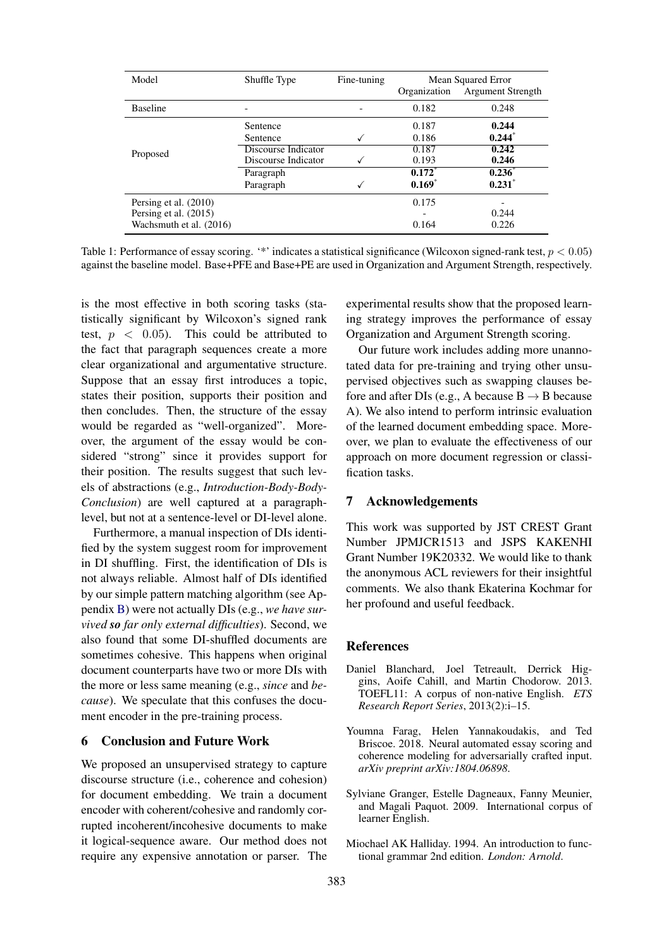<span id="page-5-4"></span>

| Model                   | Shuffle Type        | Fine-tuning | Mean Squared Error<br><b>Argument Strength</b><br>Organization |           |
|-------------------------|---------------------|-------------|----------------------------------------------------------------|-----------|
|                         |                     |             |                                                                |           |
| <b>Baseline</b>         |                     |             | 0.182                                                          | 0.248     |
| Proposed                | Sentence            |             | 0.187                                                          | 0.244     |
|                         | Sentence            |             | 0.186                                                          | 0.244     |
|                         | Discourse Indicator |             | 0.187                                                          | 0.242     |
|                         | Discourse Indicator |             | 0.193                                                          | 0.246     |
|                         | Paragraph           |             | $0.172^*$                                                      | $0.236^*$ |
|                         | Paragraph           |             | $0.169*$                                                       | $0.231*$  |
| Persing et al. (2010)   |                     |             | 0.175                                                          |           |
| Persing et al. (2015)   |                     |             |                                                                | 0.244     |
| Wachsmuth et al. (2016) |                     |             | 0.164                                                          | 0.226     |

Table 1: Performance of essay scoring. '\*' indicates a statistical significance (Wilcoxon signed-rank test,  $p < 0.05$ ) against the baseline model. Base+PFE and Base+PE are used in Organization and Argument Strength, respectively.

is the most effective in both scoring tasks (statistically significant by Wilcoxon's signed rank test,  $p \, < \, 0.05$ ). This could be attributed to the fact that paragraph sequences create a more clear organizational and argumentative structure. Suppose that an essay first introduces a topic, states their position, supports their position and then concludes. Then, the structure of the essay would be regarded as "well-organized". Moreover, the argument of the essay would be considered "strong" since it provides support for their position. The results suggest that such levels of abstractions (e.g., *Introduction-Body-Body-Conclusion*) are well captured at a paragraphlevel, but not at a sentence-level or DI-level alone.

Furthermore, a manual inspection of DIs identified by the system suggest room for improvement in DI shuffling. First, the identification of DIs is not always reliable. Almost half of DIs identified by our simple pattern matching algorithm (see Appendix [B\)](#page-6-17) were not actually DIs (e.g., *we have survived so far only external difficulties*). Second, we also found that some DI-shuffled documents are sometimes cohesive. This happens when original document counterparts have two or more DIs with the more or less same meaning (e.g., *since* and *because*). We speculate that this confuses the document encoder in the pre-training process.

# 6 Conclusion and Future Work

We proposed an unsupervised strategy to capture discourse structure (i.e., coherence and cohesion) for document embedding. We train a document encoder with coherent/cohesive and randomly corrupted incoherent/incohesive documents to make it logical-sequence aware. Our method does not require any expensive annotation or parser. The experimental results show that the proposed learning strategy improves the performance of essay Organization and Argument Strength scoring.

Our future work includes adding more unannotated data for pre-training and trying other unsupervised objectives such as swapping clauses before and after DIs (e.g., A because  $B \rightarrow B$  because A). We also intend to perform intrinsic evaluation of the learned document embedding space. Moreover, we plan to evaluate the effectiveness of our approach on more document regression or classification tasks.

# 7 Acknowledgements

This work was supported by JST CREST Grant Number JPMJCR1513 and JSPS KAKENHI Grant Number 19K20332. We would like to thank the anonymous ACL reviewers for their insightful comments. We also thank Ekaterina Kochmar for her profound and useful feedback.

## References

- <span id="page-5-3"></span>Daniel Blanchard, Joel Tetreault, Derrick Higgins, Aoife Cahill, and Martin Chodorow. 2013. TOEFL11: A corpus of non-native English. *ETS Research Report Series*, 2013(2):i–15.
- <span id="page-5-1"></span>Youmna Farag, Helen Yannakoudakis, and Ted Briscoe. 2018. Neural automated essay scoring and coherence modeling for adversarially crafted input. *arXiv preprint arXiv:1804.06898*.
- <span id="page-5-2"></span>Sylviane Granger, Estelle Dagneaux, Fanny Meunier, and Magali Paquot. 2009. International corpus of learner English.
- <span id="page-5-0"></span>Miochael AK Halliday. 1994. An introduction to functional grammar 2nd edition. *London: Arnold*.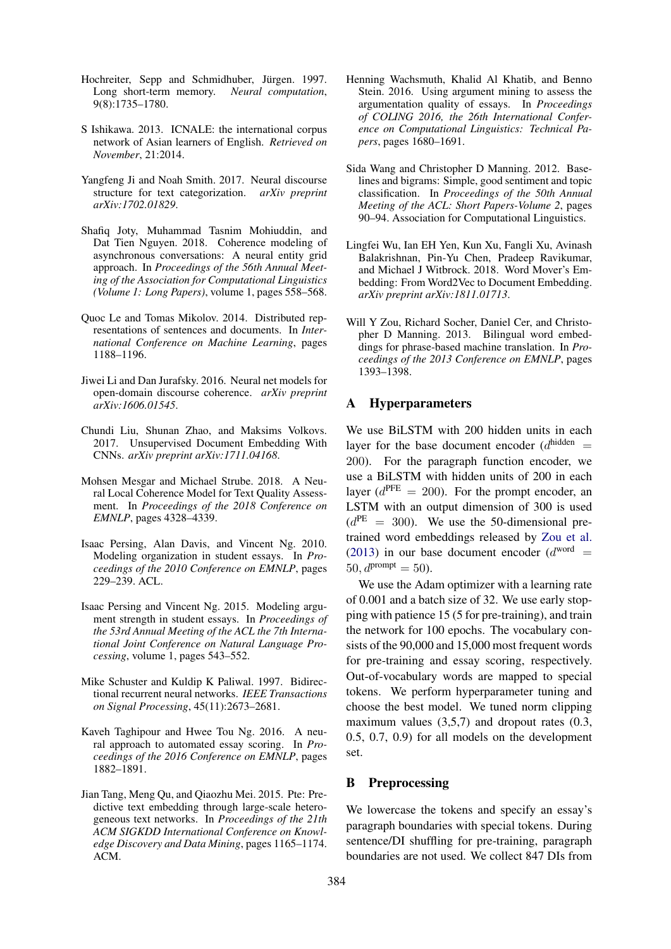- <span id="page-6-14"></span>Hochreiter, Sepp and Schmidhuber, Jürgen. 1997. Long short-term memory. *Neural computation*, 9(8):1735–1780.
- <span id="page-6-15"></span>S Ishikawa. 2013. ICNALE: the international corpus network of Asian learners of English. *Retrieved on November*, 21:2014.
- <span id="page-6-7"></span>Yangfeng Ji and Noah Smith. 2017. Neural discourse structure for text categorization. *arXiv preprint arXiv:1702.01829*.
- <span id="page-6-9"></span>Shafiq Joty, Muhammad Tasnim Mohiuddin, and Dat Tien Nguyen. 2018. Coherence modeling of asynchronous conversations: A neural entity grid approach. In *Proceedings of the 56th Annual Meeting of the Association for Computational Linguistics (Volume 1: Long Papers)*, volume 1, pages 558–568.
- <span id="page-6-0"></span>Quoc Le and Tomas Mikolov. 2014. Distributed representations of sentences and documents. In *International Conference on Machine Learning*, pages 1188–1196.
- <span id="page-6-8"></span>Jiwei Li and Dan Jurafsky. 2016. Neural net models for open-domain discourse coherence. *arXiv preprint arXiv:1606.01545*.
- <span id="page-6-1"></span>Chundi Liu, Shunan Zhao, and Maksims Volkovs. 2017. Unsupervised Document Embedding With CNNs. *arXiv preprint arXiv:1711.04168*.
- <span id="page-6-10"></span>Mohsen Mesgar and Michael Strube. 2018. A Neural Local Coherence Model for Text Quality Assessment. In *Proceedings of the 2018 Conference on EMNLP*, pages 4328–4339.
- <span id="page-6-4"></span>Isaac Persing, Alan Davis, and Vincent Ng. 2010. Modeling organization in student essays. In *Proceedings of the 2010 Conference on EMNLP*, pages 229–239. ACL.
- <span id="page-6-5"></span>Isaac Persing and Vincent Ng. 2015. Modeling argument strength in student essays. In *Proceedings of the 53rd Annual Meeting of the ACL the 7th International Joint Conference on Natural Language Processing*, volume 1, pages 543–552.
- <span id="page-6-13"></span>Mike Schuster and Kuldip K Paliwal. 1997. Bidirectional recurrent neural networks. *IEEE Transactions on Signal Processing*, 45(11):2673–2681.
- <span id="page-6-12"></span>Kaveh Taghipour and Hwee Tou Ng. 2016. A neural approach to automated essay scoring. In *Proceedings of the 2016 Conference on EMNLP*, pages 1882–1891.
- <span id="page-6-3"></span>Jian Tang, Meng Qu, and Qiaozhu Mei. 2015. Pte: Predictive text embedding through large-scale heterogeneous text networks. In *Proceedings of the 21th ACM SIGKDD International Conference on Knowledge Discovery and Data Mining*, pages 1165–1174. ACM.
- <span id="page-6-11"></span>Henning Wachsmuth, Khalid Al Khatib, and Benno Stein. 2016. Using argument mining to assess the argumentation quality of essays. In *Proceedings of COLING 2016, the 26th International Conference on Computational Linguistics: Technical Papers*, pages 1680–1691.
- <span id="page-6-6"></span>Sida Wang and Christopher D Manning. 2012. Baselines and bigrams: Simple, good sentiment and topic classification. In *Proceedings of the 50th Annual Meeting of the ACL: Short Papers-Volume 2*, pages 90–94. Association for Computational Linguistics.
- <span id="page-6-2"></span>Lingfei Wu, Ian EH Yen, Kun Xu, Fangli Xu, Avinash Balakrishnan, Pin-Yu Chen, Pradeep Ravikumar, and Michael J Witbrock. 2018. Word Mover's Embedding: From Word2Vec to Document Embedding. *arXiv preprint arXiv:1811.01713*.
- <span id="page-6-18"></span>Will Y Zou, Richard Socher, Daniel Cer, and Christopher D Manning. 2013. Bilingual word embeddings for phrase-based machine translation. In *Proceedings of the 2013 Conference on EMNLP*, pages 1393–1398.

# <span id="page-6-16"></span>A Hyperparameters

We use BiLSTM with 200 hidden units in each layer for the base document encoder  $(d^{\text{hidden}} =$ 200). For the paragraph function encoder, we use a BiLSTM with hidden units of 200 in each layer ( $d^{PFE} = 200$ ). For the prompt encoder, an LSTM with an output dimension of 300 is used  $(d^{PE} = 300)$ . We use the 50-dimensional pretrained word embeddings released by [Zou et al.](#page-6-18) [\(2013\)](#page-6-18) in our base document encoder  $(d<sup>word</sup>)$  =  $50, d^{prompt} = 50$ ).

We use the Adam optimizer with a learning rate of 0.001 and a batch size of 32. We use early stopping with patience 15 (5 for pre-training), and train the network for 100 epochs. The vocabulary consists of the 90,000 and 15,000 most frequent words for pre-training and essay scoring, respectively. Out-of-vocabulary words are mapped to special tokens. We perform hyperparameter tuning and choose the best model. We tuned norm clipping maximum values  $(3,5,7)$  and dropout rates  $(0.3,$ 0.5, 0.7, 0.9) for all models on the development set.

#### <span id="page-6-17"></span>B Preprocessing

We lowercase the tokens and specify an essay's paragraph boundaries with special tokens. During sentence/DI shuffling for pre-training, paragraph boundaries are not used. We collect 847 DIs from